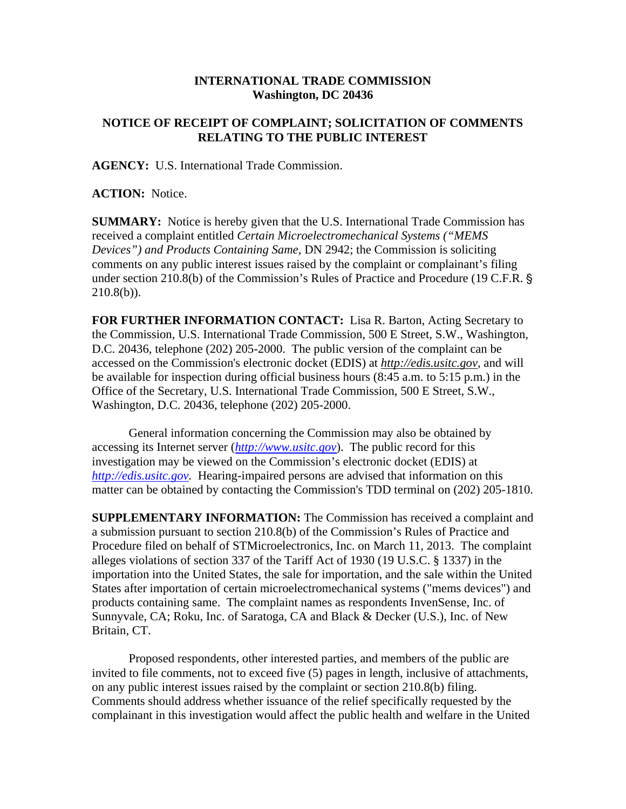## **INTERNATIONAL TRADE COMMISSION Washington, DC 20436**

## **NOTICE OF RECEIPT OF COMPLAINT; SOLICITATION OF COMMENTS RELATING TO THE PUBLIC INTEREST**

**AGENCY:** U.S. International Trade Commission.

**ACTION:** Notice.

**SUMMARY:** Notice is hereby given that the U.S. International Trade Commission has received a complaint entitled *Certain Microelectromechanical Systems ("MEMS Devices") and Products Containing Same,* DN 2942; the Commission is soliciting comments on any public interest issues raised by the complaint or complainant's filing under section 210.8(b) of the Commission's Rules of Practice and Procedure (19 C.F.R. '  $210.8(b)$ ).

**FOR FURTHER INFORMATION CONTACT:** Lisa R. Barton, Acting Secretary to the Commission, U.S. International Trade Commission, 500 E Street, S.W., Washington, D.C. 20436, telephone (202) 205-2000. The public version of the complaint can be accessed on the Commission's electronic docket (EDIS) at *http://edis.usitc.gov*, and will be available for inspection during official business hours (8:45 a.m. to 5:15 p.m.) in the Office of the Secretary, U.S. International Trade Commission, 500 E Street, S.W., Washington, D.C. 20436, telephone (202) 205-2000.

General information concerning the Commission may also be obtained by accessing its Internet server (*http://www.usitc.gov*). The public record for this investigation may be viewed on the Commission's electronic docket (EDIS) at *http://edis.usitc.gov.* Hearing-impaired persons are advised that information on this matter can be obtained by contacting the Commission's TDD terminal on (202) 205-1810.

**SUPPLEMENTARY INFORMATION:** The Commission has received a complaint and a submission pursuant to section 210.8(b) of the Commission's Rules of Practice and Procedure filed on behalf of STMicroelectronics, Inc. on March 11, 2013. The complaint alleges violations of section 337 of the Tariff Act of 1930 (19 U.S.C. § 1337) in the importation into the United States, the sale for importation, and the sale within the United States after importation of certain microelectromechanical systems ("mems devices") and products containing same. The complaint names as respondents InvenSense, Inc. of Sunnyvale, CA; Roku, Inc. of Saratoga, CA and Black & Decker (U.S.), Inc. of New Britain, CT.

Proposed respondents, other interested parties, and members of the public are invited to file comments, not to exceed five (5) pages in length, inclusive of attachments, on any public interest issues raised by the complaint or section 210.8(b) filing. Comments should address whether issuance of the relief specifically requested by the complainant in this investigation would affect the public health and welfare in the United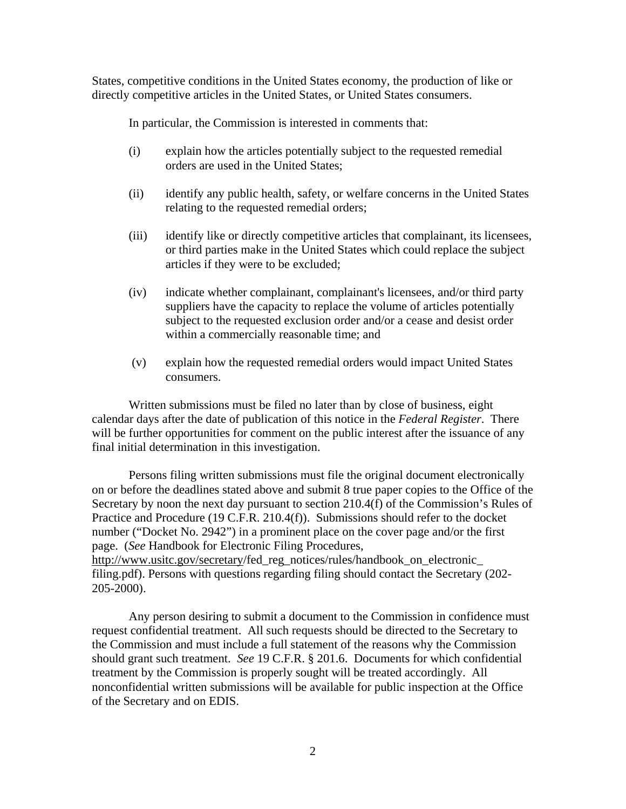States, competitive conditions in the United States economy, the production of like or directly competitive articles in the United States, or United States consumers.

In particular, the Commission is interested in comments that:

- (i) explain how the articles potentially subject to the requested remedial orders are used in the United States;
- (ii) identify any public health, safety, or welfare concerns in the United States relating to the requested remedial orders;
- (iii) identify like or directly competitive articles that complainant, its licensees, or third parties make in the United States which could replace the subject articles if they were to be excluded;
- (iv) indicate whether complainant, complainant's licensees, and/or third party suppliers have the capacity to replace the volume of articles potentially subject to the requested exclusion order and/or a cease and desist order within a commercially reasonable time; and
- (v) explain how the requested remedial orders would impact United States consumers.

Written submissions must be filed no later than by close of business, eight calendar days after the date of publication of this notice in the *Federal Register*. There will be further opportunities for comment on the public interest after the issuance of any final initial determination in this investigation.

Persons filing written submissions must file the original document electronically on or before the deadlines stated above and submit 8 true paper copies to the Office of the Secretary by noon the next day pursuant to section 210.4(f) of the Commission's Rules of Practice and Procedure (19 C.F.R. 210.4(f)). Submissions should refer to the docket number ("Docket No. 2942") in a prominent place on the cover page and/or the first page. (*See* Handbook for Electronic Filing Procedures, http://www.usitc.gov/secretary/fed\_reg\_notices/rules/handbook\_on\_electronic\_ filing.pdf). Persons with questions regarding filing should contact the Secretary (202-

205-2000).

Any person desiring to submit a document to the Commission in confidence must request confidential treatment. All such requests should be directed to the Secretary to the Commission and must include a full statement of the reasons why the Commission should grant such treatment. *See* 19 C.F.R. § 201.6. Documents for which confidential treatment by the Commission is properly sought will be treated accordingly. All nonconfidential written submissions will be available for public inspection at the Office of the Secretary and on EDIS.